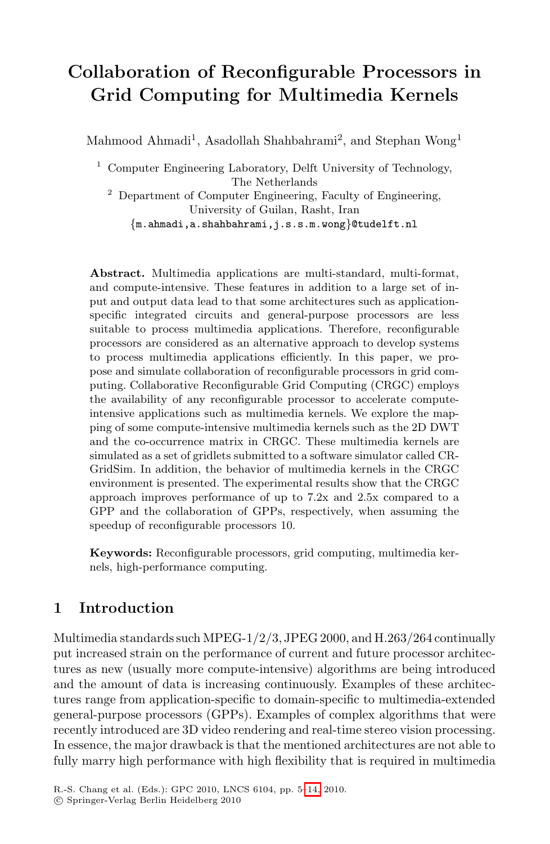# **Collaboration of Reconfigurable Processors in Grid Computing for Multimedia Kernels**

Mahmood Ahmadi<sup>1</sup>, Asadollah Shahbahrami<sup>2</sup>, and Stephan Wong<sup>1</sup>

<sup>1</sup> Computer Engineering Laboratory, Delft University of Technology, The Netherlands <sup>2</sup> Department of Computer Engineering, Faculty of Engineering, University of Guilan, Rasht, Iran

*{*m.ahmadi,a.shahbahrami,j.s.s.m.wong*}*@tudelft.nl

**Abstract.** Multimedia applications are multi-standard, multi-format, and compute-intensive. These features in addition to a large set of input and output data lead to that some architectures such as applicationspecific integrated circuits and general-purpose processors are less suitable to process multimedia applications. Therefore, reconfigurable processors are considered as an alternative approach to develop systems to process multimedia applications efficiently. In this paper, we propose and simulate collaboration of reconfigurable processors in grid computing. Collaborative Reconfigurable Grid Computing (CRGC) employs the availability of any reconfigurable processor to accelerate computeintensive applications such as multimedia kernels. We explore the mapping of some compute-intensive multimedia kernels such as the 2D DWT and the co-occurrence matrix in CRGC. These multimedia kernels are simulated as a set of gridlets submitted to a software simulator called CR-GridSim. In addition, the behavior of multimedia kernels in the CRGC environment is presented. The experimental results show that the CRGC approach improves performance of up to 7.2x and 2.5x compared to a GPP and the collaboration of GPPs, respectively, when assuming the speedup of reconfigurable processors 10.

**Keywords:** Reconfigurable processors, grid computing, multimedia kernels, high-performance computing.

# **1 Introduction**

Multimedia standards such MPEG-1/2/3, JPEG 2000, and H.263/264 continually put increased strain on the performance of current and future processor architectures as new (usually mor[e co](#page-9-0)mpute-intensive) algorithms are being introduced and the amount of data is increasing continuously. Examples of these architectures range from application-specific to domain-specific to multimedia-extended general-purpose processors (GPPs). Examples of complex algorithms that were recently introduced are 3D video rendering and real-time stereo vision processing. In essence, the major drawback is that the mentioned architectures are not able to fully marry high performance with high flexibility that is required in multimedia

R.-S. Chang et al. (Eds.): GPC 2010, LNCS 6104, pp. 5–14, 2010.

<sup>-</sup>c Springer-Verlag Berlin Heidelberg 2010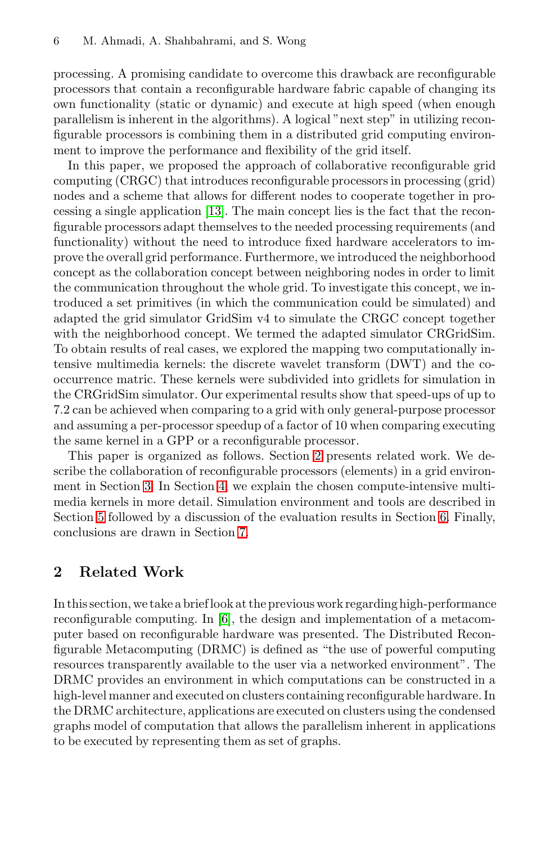#### 6 M. Ahmadi, A. Shahbahrami, and S. Wong

processing. A promising candidate to overcome this drawback are reconfigurable processo[rs t](#page-9-1)hat contain a reconfigurable hardware fabric capable of changing its own functionality (static or dynamic) and execute at high speed (when enough parallelism is inherent in the algorithms). A logical "next step" in utilizing reconfigurable processors is combining them in a distributed grid computing environment to improve the performance and flexibility of the grid itself.

In this paper, we proposed the approach of collaborative reconfigurable grid computing (CRGC) that introduces reconfigurable processors in processing (grid) nodes and a scheme that allows for different nodes to cooperate together in processing a single application [13]. The main concept lies is the fact that the reconfigurable processors adapt themselves to the needed processing requirements (and functionality) without the need to introduce fixed hardware accelerators to improve the overall grid performance. Furthermore, we introduced the neighborhood concept as the collaboration concept between neighboring nodes in order to limit the communication throughout the whole grid. To investigate this concept, we introduced a set primitives (in which the communication could be simulated) and adapted the grid simulator GridSim v4 to simulate the CRGC concept together with the neighborhood con[cep](#page-1-0)t. We termed the adapted simulator CRGridSim. To obtain results of real cases, we explored the mapping two computationally intensive m[ult](#page-4-0)imedia kernels: the discrete wavelet transform (DWT) and the cooccurrence matric. These kernels were subdivided into gridlets for simulation in the CRGridSim simulator. Our experimental result[s s](#page-7-0)how that speed-ups of up to 7.2 can be ach[iev](#page-8-0)ed when comparing to a grid with only general-purpose processor and assuming a per-processor speedup of a factor of 10 when comparing executing the same kernel in a GPP or a reconfigurable processor.

<span id="page-1-0"></span>This paper is organized as follows. Section 2 presents related work. We describe the collaboration of reconfigurable processors (elements) in a grid environment in Section 3. In Section 4, we explain the chosen compute-intensive multimedia ker[nel](#page-9-2)s in more detail. Simulation environment and tools are described in Section 5 followed by a discussion of the evaluation results in Section 6. Finally, conclusions are drawn in Section 7.

## **2 Related Work**

In this section, we take a brief look at the previous work regarding high-performance reconfigurable computing. In [6], the design and implementation of a metacomputer based on reconfigurable hardware was presented. The Distributed Reconfigurable Metacomputing (DRMC) is defined as "the use of powerful computing resources transparently available to the user via a networked environment". The DRMC provides an environment in which computations can be constructed in a high-level manner and executed on clusters containing reconfigurable hardware. In the DRMC architecture, applications are executed on clusters using the condensed graphs model of computation that allows the parallelism inherent in applications to be executed by representing them as set of graphs.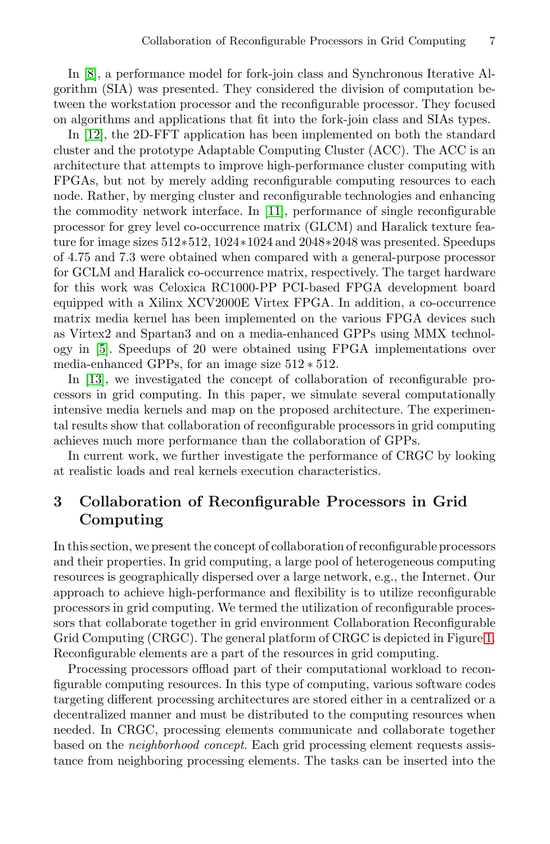In [8], a performance model for fork-join class and Synchronous Iterative Algorithm (SIA) was [pre](#page-9-3)sented. They considered the division of computation between the workstation processor and the reconfigurable processor. They focused on algorithms and applications that fit into the fork-join class and SIAs types.

In [12], the 2D-FFT application has been implemented on both the standard cluster and the prototype Adaptable Computing Cluster (ACC). The ACC is an architecture that attempts to improve high-performance cluster computing with FPGAs, but not by merely adding reconfigurable computing resources to each node. Rather, by merging cluster and reconfigurable technologies and enhancing the commodity network interface. In [11], performance of single reconfigurable processor for grey level co-occurrence matrix (GLCM) and Haralick texture feature for image sizes 512∗512, 1024∗1024 and 2048∗2048 was presented. Speedups of 4.75 and 7.3 were obtained when compared with a general-purpose processor for GCLM and Haralick co-occurrence matrix, respectively. The target hardware for this work was Celoxica RC1000-PP PCI-based FPGA development board equipped with a Xilinx XCV2000E Virtex FPGA. In addition, a co-occurrence matrix media kernel has been implemented on the various FPGA devices such as Virtex2 and Spartan3 and on a media-enhanced GPPs using MMX technology in [5]. Speedups of 20 were obtained using FPGA implementations over media-enhanced GPPs, for an image size 512 ∗ 512.

In [13], we investigated the concept of collaboration of reconfigurable processors in grid computing. In this paper, we simulate several computationally intensive media kernels and map on the proposed architecture. The experimental results show that collaboration of reconfigurable processors in grid computing achieves much more performance than the collaboration of GPPs.

In current work, we further investigate the performance of CRGC by looking at realistic loads and real kernels execution characteristics.

# **3 Collaboration of Reconfigurable Processors in Grid Computing**

In this section, we present the concept of collaboration of reconfigurable processors and their properties. In grid computing, a large pool of heterogeneous computing resources is geographically dispersed over a large network, e.g., the Internet. Our approach to achieve high-performance and flexibility is to utilize reconfigurable processors in grid computing. We termed the utilization of reconfigurable processors that collaborate together in grid environment Collaboration Reconfigurable Grid Computing (CRGC). The general platform of CRGC is depicted in Figure 1. Reconfigurable elements are a part of the resources in grid computing.

Processing processors offload part of their computational workload to reconfigurable computing resources. In this type of computing, various software codes targeting different processing architectures are stored either in a centralized or a decentralized manner and must be distributed to the computing resources when needed. In CRGC, processing elements communicate and collaborate together based on the *neighborhood concept*. Each grid processing element requests assistance from neighboring processing elements. The tasks can be inserted into the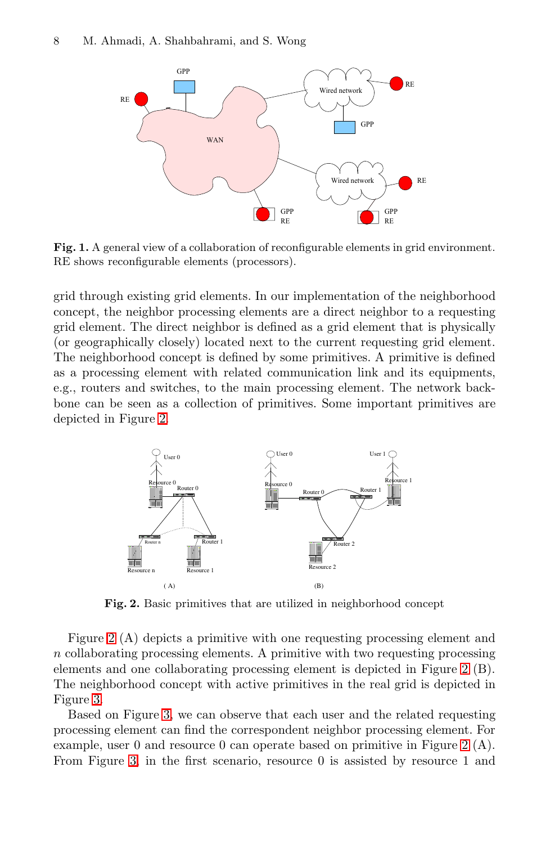#### 8 M. Ahmadi, A. Shahbahrami, and S. Wong



**Fig. 1.** A general view of a collaboration of reconfigurable elements in grid environment. RE shows reconfigurable elements (processors).

[gr](#page-3-0)id through existing grid elements. In our implementation of the neighborhood concept, the neighbor processing elements are a direct neighbor to a requesting grid element. The direct neighbor is defined as a grid element that is physically (or geographically closely) located next to the current requesting grid element. The neighborhood concept is defined by some primitives. A primitive is defined as a processing element with related communication link and its equipments, e.g., routers and switches, to the main processing element. The network backbone can be seen as a collection of primitives. Some important primitives are depicted in Figure 2.

<span id="page-3-0"></span>

**Fig. 2.** Basic primitives that are utilized in neighborhood concept

Figure 2 (A) depicts a primitive with one requesti[ng](#page-3-0) processing element and n collaborating processing elements. A primitive with two requesting processing elements and one collaborating processing element is depicted in Figure 2 (B). The neighborhood concept with active primitives in the real grid is depicted in Figure 3.

Based on Figure 3, we can observe that each user and the related requesting processing element can find the correspondent neighbor processing element. For example, user 0 and resource 0 can operate based on primitive in Figure 2 (A). From Figure 3, in the first scenario, resource 0 is assisted by resource 1 and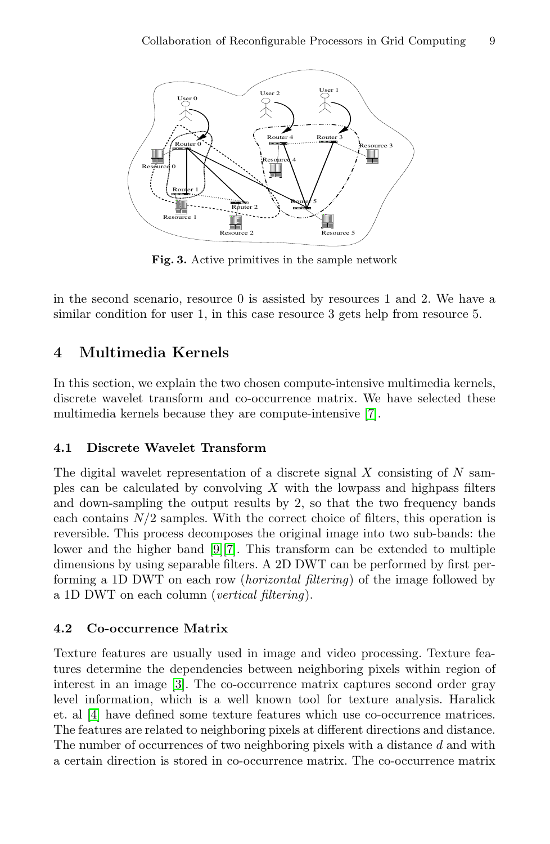Collaboration of Reconfigurable Processors in Grid Computing 9



**Fig. 3.** Active primitives in the sample network

<span id="page-4-0"></span>in the second scenario, resource 0 is [as](#page-9-4)sisted by resources 1 and 2. We have a similar condition for user 1, in this case resource 3 gets help from resource 5.

## **4 Multimedia Kernels**

In this section, we explain the two chosen compute-intensive multimedia kernels, discrete wavelet transform and co-occurrence matrix. We have selected these multimedia kernels because they are compute-intensive [7].

#### **4.1 Discrete Wavelet Transform**

The digital wavelet representation of a discrete signal  $X$  consisting of  $N$  samples can be calculated by convolving  $X$  with the lowpass and highpass filters and down-sampling the output results by 2, so that the two frequency bands each contains  $N/2$  samples. With the correct choice of filters, this operation is reversible. This process decomposes the original image into two sub-bands: the lower and the higher band [9][7]. This transform can be extended to multiple di[me](#page-9-5)nsions by using separable filters. A 2D DWT can be performed by first performing a 1D DWT on each row (*horizontal filtering*) of the image followed by a 1D DWT on each column (*vertical filtering*).

#### **4.2 Co-occurrence Matrix**

Texture features are usually used in image and video processing. Texture features determine the dependencies between neighboring pixels within region of interest in an image [3]. The co-occurrence matrix captures second order gray level information, which is a well known tool for texture analysis. Haralick et. al [4] have defined some texture features which use co-occurrence matrices. The features are related to neighboring pixels at different directions and distance. The number of occurrences of two neighboring pixels with a distance  $d$  and with a certain direction is stored in co-occurrence matrix. The co-occurrence matrix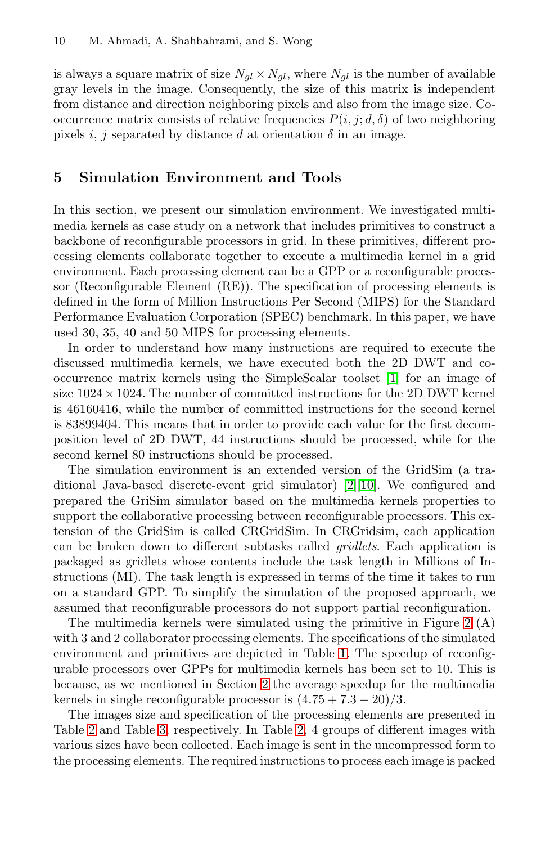is always a square matrix of size  $N_{gl} \times N_{gl}$ , where  $N_{gl}$  is the number of available gray levels in the image. Consequently, the size of this matrix is independent from distance and direction neighboring pixels and also from the image size. Cooccurrence matrix consists of relative frequencies  $P(i, j; d, \delta)$  of two neighboring pixels i, j separated by distance d at orientation  $\delta$  in an image.

## **5 Simulation Environment and Tools**

In this section, we present our simulation environment. We investigated multimedia kernels as case study on a network that includes primitives to construct a backbone of reconfigurable processors in grid. In these primitives, different processing elements collaborate together to [ex](#page-8-1)ecute a multimedia kernel in a grid environment. Each processing element can be a GPP or a reconfigurable processor (Reconfigurable Element (RE)). The specification of processing elements is defined in the form of Million Instructions Per Second (MIPS) for the Standard Performance Evaluation Corporation (SPEC) benchmark. In this paper, we have used 30, 35, 40 and 50 MIPS for processing elements.

In order to understand how many instructions are required to execute the discussed multimedia kernels, w[e](#page-8-2) [have](#page-9-6) executed both the 2D DWT and cooccurrence matrix kernels using the SimpleScalar toolset [1] for an image of size  $1024 \times 1024$ . The number of committed instructions for the 2D DWT kernel is 46160416, while the number of committed instructions for the second kernel is 83899404. This means that in order to provide each value for the first decomposition level of 2D DWT, 44 instructions should be processed, while for the second kernel 80 instructions should be processed.

The simulation environment is an extended version of the GridSim (a traditional Java-based discrete-event grid simulator) [2][10]. We configured and prepared the GriSim simulator based on the multime[di](#page-3-0)a kernels properties to support the collaborative processing between reconfigurable processors. This extension of the GridSim is calle[d C](#page-6-0)RGridSim. In CRGridsim, each application can be broken down to different subtasks called *gridlets*. Each application is packaged as gridl[ets](#page-1-0) whose contents include the task length in Millions of Instructions (MI). The task length is expressed in terms of the time it takes to run on a standard GPP. To simplify the simulation of the proposed approach, we [as](#page-6-1)sumed that reconfigur[ab](#page-6-2)le processors do not support partial reconfiguration.

The multimedia kernels were simulated using the primitive in Figure 2 (A) with 3 and 2 collaborator processing elements. The specifications of the simulated environment and primitives are depicted in Table 1. The speedup of reconfigurable processors over GPPs for multimedia kernels has been set to 10. This is because, as we mentioned in Section 2 the average speedup for the multimedia kernels in single reconfigurable processor is  $(4.75 + 7.3 + 20)/3$ .

The images size and specification of the processing elements are presented in Table 2 and Table 3, respectively. In Table 2, 4 groups of different images with various sizes have been collected. Each image is sent in the uncompressed form to the processing elements. The required instructions to process each image is packed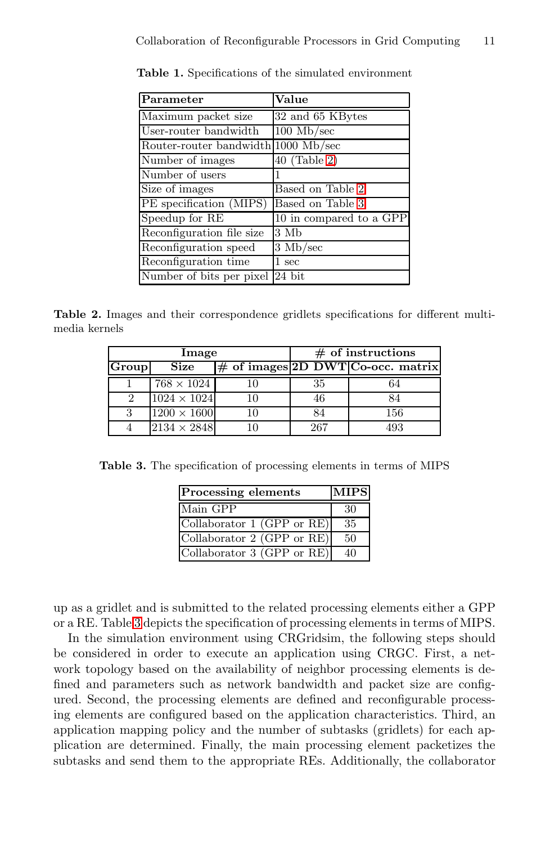<span id="page-6-0"></span>Collaboration of [R](#page-6-2)econfigurable Processors in Grid Computing 11

| Parameter                           | Value                   |
|-------------------------------------|-------------------------|
| Maximum packet size                 | 32 and 65 KBytes        |
| User-router bandwidth               | $100 \text{ Mb/sec}$    |
| Router-router bandwidth 1000 Mb/sec |                         |
| Number of images                    | $40$ (Table 2)          |
| Number of users                     |                         |
| Size of images                      | Based on Table 2        |
| PE specification (MIPS)             | Based on Table 3        |
| Speedup for RE                      | 10 in compared to a GPP |
| Reconfiguration file size           | 3 Mb                    |
| Reconfiguration speed               | $3 \text{ Mb/sec}$      |
| Reconfiguration time                | $1~\mathrm{sec}$        |
| Number of bits per pixel            | 24 bit                  |

**Table 1.** Specificatio[ns](#page-6-2) of the simulated environment

<span id="page-6-2"></span><span id="page-6-1"></span>**Table 2.** Images and their correspondence gridlets specifications for different multimedia kernels

| Image |                    | $\#$ of instructions |     |                                     |
|-------|--------------------|----------------------|-----|-------------------------------------|
| Group | <b>Size</b>        |                      |     | $#$ of images 2D DWT Co-occ. matrix |
|       | $768 \times 1024$  |                      | 35  | 64                                  |
|       | $1024 \times 1024$ | 10                   | 46  | 84                                  |
| っ     | $1200 \times 1600$ | 10                   |     | 156                                 |
|       | $2134\times2848$   |                      | 267 | 493                                 |

**Table 3.** The specification of processing elements in terms of MIPS

| Processing elements          | <b>MIPS</b>  |
|------------------------------|--------------|
| Main GPP                     | 30           |
| Collaborator $1$ (GPP or RE) | 35           |
| Collaborator $2$ (GPP or RE) | $50^{\circ}$ |
| Collaborator $3$ (GPP or RE) |              |

up as a gridlet and is submitted to the related processing elements either a GPP or a RE. Table 3 depicts the specification of processing elements in terms of MIPS.

In the simulation environment using CRGridsim, the following steps should be considered in order to execute an application using CRGC. First, a network topology based on the availability of neighbor processing elements is defined and parameters such as network bandwidth and packet size are configured. Second, the processing elements are defined and reconfigurable processing elements are configured based on the application characteristics. Third, an application mapping policy and the number of subtasks (gridlets) for each application are determined. Finally, the main processing element packetizes the subtasks and send them to the appropriate REs. Additionally, the collaborator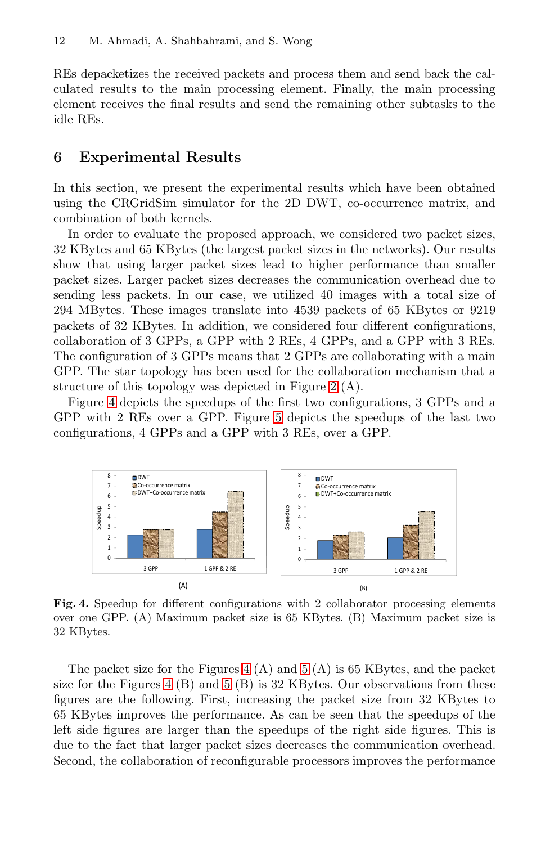<span id="page-7-0"></span>REs depacketizes the received packets and process them and send back the calculated results to the main processing element. Finally, the main processing element receives the final results and send the remaining other subtasks to the idle REs.

## **6 Experimental Results**

In this section, we present the experimental results which have been obtained using the CRGridSim simulator for the 2D DWT, co-occurrence matrix, and combination of both kernels.

In order to evaluate the proposed approach, we considered two packet sizes, 32 KBytes and 65 KBytes (the largest packet sizes in the networks). Our results show that using larger packe[t s](#page-3-0)izes lead to higher performance than smaller packet sizes. Larger packet sizes decreases the communication overhead due to sending less packets[.](#page-8-3) In our case, we utilized 40 images with a total size of 294 MBytes. These images translate into 4539 packets of 65 KBytes or 9219 packets of 32 KBytes. In addition, we considered four different configurations, collaboration of 3 GPPs, a GPP with 2 REs, 4 GPPs, and a GPP with 3 REs. The configuration of 3 GPPs means that 2 GPPs are collaborating with a main GPP. The star topology has been used for the collaboration mechanism that a structure of this topology was depicted in Figure 2 (A).

Figure 4 depicts the speedups of the first two configurations, 3 GPPs and a GPP with 2 REs over a GPP. Figure 5 depicts the speedups of the last two configurations, 4 GPPs and a GPP with 3 REs, over a GPP.



Fig. 4. Speedup for different configurations with 2 collaborator processing elements over one GPP. (A) Maximum packet size is 65 KBytes. (B) Maximum packet size is 32 KBytes.

The packet size for the Figures 4 (A) and 5 (A) is 65 KBytes, and the packet size for the Figures 4 (B) and 5 (B) is 32 KBytes. Our observations from these figures are the following. First, increasing the packet size from 32 KBytes to 65 KBytes improves the performance. As can be seen that the speedups of the left side figures are larger than the speedups of the right side figures. This is due to the fact that larger packet sizes decreases the communication overhead. Second, the collaboration of reconfigurable processors improves the performance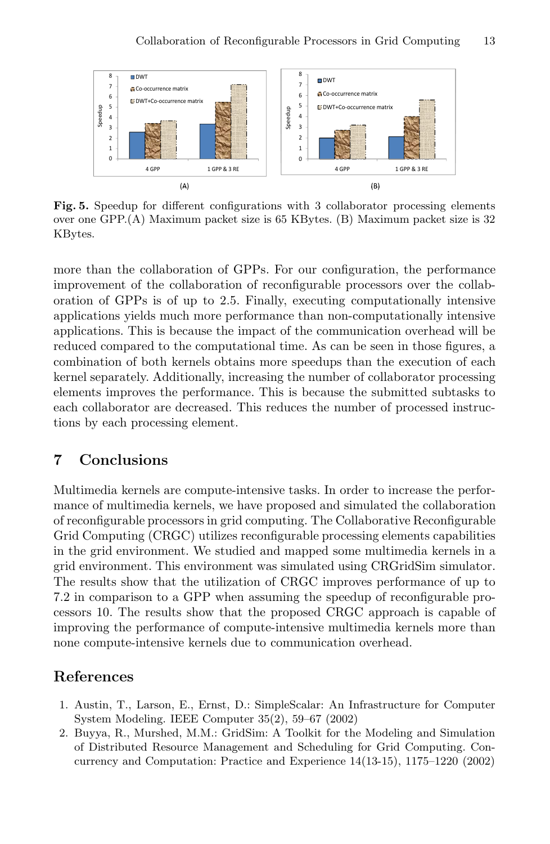

<span id="page-8-3"></span>**Fig. 5.** Speedup for different configurations with 3 collaborator processing elements over one GPP.(A) Maximum packet size is 65 KBytes. (B) Maximum packet size is 32 KBytes.

more than the collaboration of GPPs. For our configuration, the performance improvement of the collaboration of reconfigurable processors over the collaboration of GPPs is of up to 2.5. Finally, executing computationally intensive applications yields much more performance than non-computationally intensive applications. This is because the impact of the communication overhead will be reduced compared to the computational time. As can be seen in those figures, a combination of both kernels obtains more speedups than the execution of each kernel separately. Additionally, increasing the number of collaborator processing elements improves the performance. This is because the submitted subtasks to each collaborator are decreased. This reduces the number of processed instructions by each processing element.

# <span id="page-8-0"></span>**7 Conclusions**

Multimedia kernels are compute-intensive tasks. In order to increase the performance of multimedia kernels, we have proposed and simulated the collaboration of reconfigurable processors in grid computing. The Collaborative Reconfigurable Grid Computing (CRGC) utilizes reconfigurable processing elements capabilities in the grid environment. We studied and mapped some multimedia kernels in a grid environment. This environment was simulated using CRGridSim simulator. The results show that the utilization of CRGC improves performance of up to 7.2 in comparison to a GPP when assuming the speedup of reconfigurable processors 10. The results show that the proposed CRGC approach is capable of improving the performance of compute-intensive multimedia kernels more than none compute-intensive kernels due to communication overhead.

## **References**

- <span id="page-8-1"></span>1. Austin, T., Larson, E., Ernst, D.: SimpleScalar: An Infrastructure for Computer System Modeling. IEEE Computer 35(2), 59–67 (2002)
- <span id="page-8-2"></span>2. Buyya, R., Murshed, M.M.: GridSim: A Toolkit for the Modeling and Simulation of Distributed Resource Management and Scheduling for Grid Computing. Concurrency and Computation: Practice and Experience 14(13-15), 1175–1220 (2002)